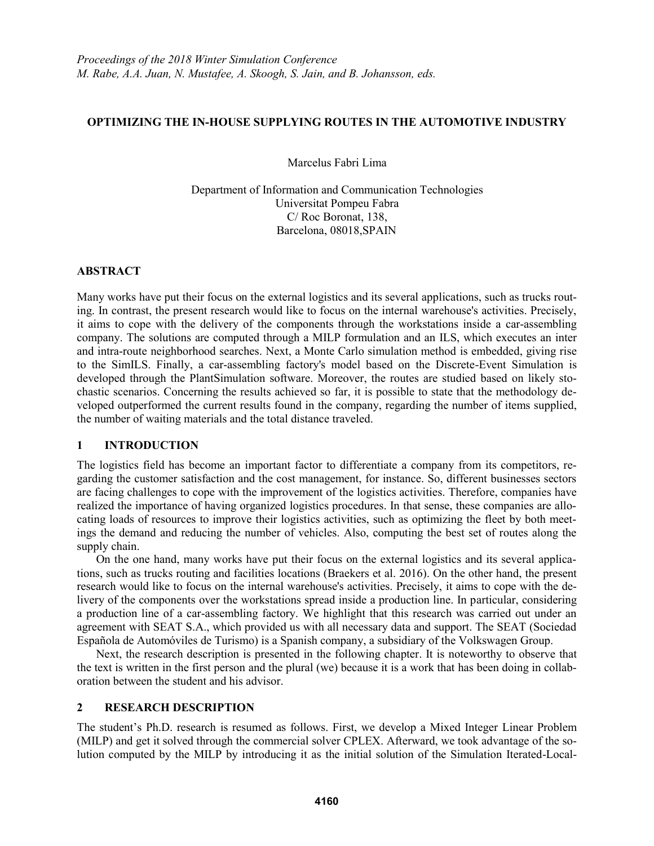### **OPTIMIZING THE IN-HOUSE SUPPLYING ROUTES IN THE AUTOMOTIVE INDUSTRY**

Marcelus Fabri Lima

Department of Information and Communication Technologies Universitat Pompeu Fabra C/ Roc Boronat, 138, Barcelona, 08018,SPAIN

### **ABSTRACT**

Many works have put their focus on the external logistics and its several applications, such as trucks routing. In contrast, the present research would like to focus on the internal warehouse's activities. Precisely, it aims to cope with the delivery of the components through the workstations inside a car-assembling company. The solutions are computed through a MILP formulation and an ILS, which executes an inter and intra-route neighborhood searches. Next, a Monte Carlo simulation method is embedded, giving rise to the SimILS. Finally, a car-assembling factory's model based on the Discrete-Event Simulation is developed through the PlantSimulation software. Moreover, the routes are studied based on likely stochastic scenarios. Concerning the results achieved so far, it is possible to state that the methodology developed outperformed the current results found in the company, regarding the number of items supplied, the number of waiting materials and the total distance traveled.

# **1 INTRODUCTION**

The logistics field has become an important factor to differentiate a company from its competitors, regarding the customer satisfaction and the cost management, for instance. So, different businesses sectors are facing challenges to cope with the improvement of the logistics activities. Therefore, companies have realized the importance of having organized logistics procedures. In that sense, these companies are allocating loads of resources to improve their logistics activities, such as optimizing the fleet by both meetings the demand and reducing the number of vehicles. Also, computing the best set of routes along the supply chain.

On the one hand, many works have put their focus on the external logistics and its several applications, such as trucks routing and facilities locations (Braekers et al. 2016). On the other hand, the present research would like to focus on the internal warehouse's activities. Precisely, it aims to cope with the delivery of the components over the workstations spread inside a production line. In particular, considering a production line of a car-assembling factory. We highlight that this research was carried out under an agreement with SEAT S.A., which provided us with all necessary data and support. The SEAT (Sociedad Española de Automóviles de Turismo) is a Spanish company, a subsidiary of the Volkswagen Group.

Next, the research description is presented in the following chapter. It is noteworthy to observe that the text is written in the first person and the plural (we) because it is a work that has been doing in collaboration between the student and his advisor.

# **2 RESEARCH DESCRIPTION**

The student's Ph.D. research is resumed as follows. First, we develop a Mixed Integer Linear Problem (MILP) and get it solved through the commercial solver CPLEX. Afterward, we took advantage of the solution computed by the MILP by introducing it as the initial solution of the Simulation Iterated-Local-